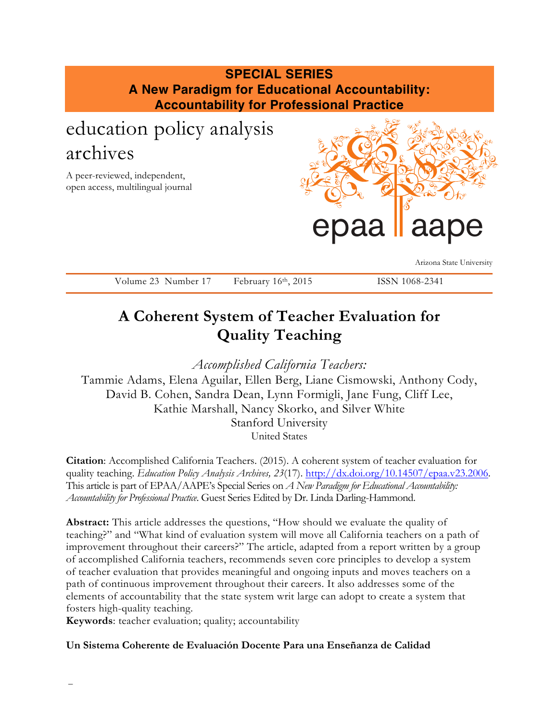## **SPECIAL SERIES A New Paradigm for Educational Accountability: Accountability for Professional Practice**

# education policy analysis archives

A peer-reviewed, independent, open access, multilingual journal



Arizona State University

Volume 23 Number 17 February 16th, 2015 ISSN 1068-2341

## **A Coherent System of Teacher Evaluation for Quality Teaching**

*Accomplished California Teachers:* 

Tammie Adams, Elena Aguilar, Ellen Berg, Liane Cismowski, Anthony Cody, David B. Cohen, Sandra Dean, Lynn Formigli, Jane Fung, Cliff Lee, Kathie Marshall, Nancy Skorko, and Silver White Stanford University United States

**Citation**: Accomplished California Teachers. (2015). A coherent system of teacher evaluation for quality teaching. *Education Policy Analysis Archives, 23*(17). http://dx.doi.org/10.14507/epaa.v23.2006. This article is part of EPAA/AAPE's Special Series on *A New Paradigm for Educational Accountability: Accountability for Professional Practice*. Guest Series Edited by Dr. Linda Darling-Hammond.

**Abstract:** This article addresses the questions, "How should we evaluate the quality of teaching?" and "What kind of evaluation system will move all California teachers on a path of improvement throughout their careers?" The article, adapted from a report written by a group of accomplished California teachers, recommends seven core principles to develop a system of teacher evaluation that provides meaningful and ongoing inputs and moves teachers on a path of continuous improvement throughout their careers. It also addresses some of the elements of accountability that the state system writ large can adopt to create a system that fosters high-quality teaching.

**Keywords**: teacher evaluation; quality; accountability

**Un Sistema Coherente de Evaluación Docente Para una Enseñanza de Calidad**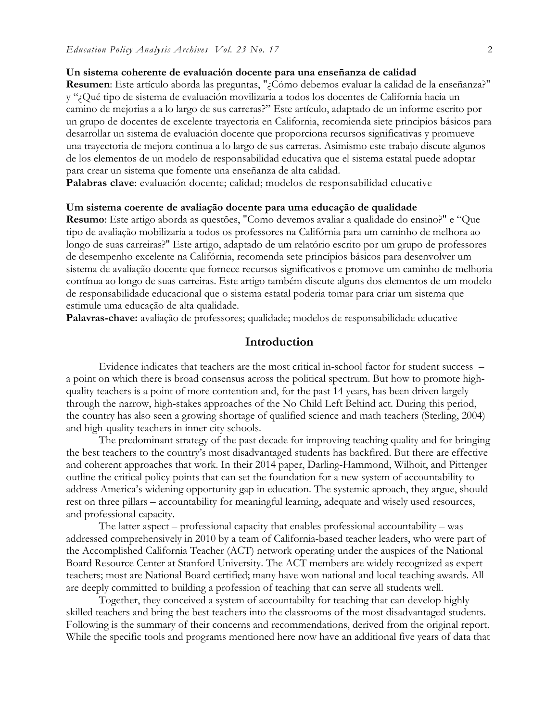#### **Un sistema coherente de evaluación docente para una enseñanza de calidad**

**Resumen**: Este artículo aborda las preguntas, "¿Cómo debemos evaluar la calidad de la enseñanza?" y "¿Qué tipo de sistema de evaluación movilizaria a todos los docentes de California hacia un camino de mejorias a a lo largo de sus carreras?" Este artículo, adaptado de un informe escrito por un grupo de docentes de excelente trayectoria en California, recomienda siete principios básicos para desarrollar un sistema de evaluación docente que proporciona recursos significativas y promueve una trayectoria de mejora continua a lo largo de sus carreras. Asimismo este trabajo discute algunos de los elementos de un modelo de responsabilidad educativa que el sistema estatal puede adoptar para crear un sistema que fomente una enseñanza de alta calidad.

**Palabras clave**: evaluación docente; calidad; modelos de responsabilidad educative

#### **Um sistema coerente de avaliação docente para uma educação de qualidade**

**Resumo**: Este artigo aborda as questões, "Como devemos avaliar a qualidade do ensino?" e "Que tipo de avaliação mobilizaria a todos os professores na Califórnia para um caminho de melhora ao longo de suas carreiras?" Este artigo, adaptado de um relatório escrito por um grupo de professores de desempenho excelente na Califórnia, recomenda sete princípios básicos para desenvolver um sistema de avaliação docente que fornece recursos significativos e promove um caminho de melhoria contínua ao longo de suas carreiras. Este artigo também discute alguns dos elementos de um modelo de responsabilidade educacional que o sistema estatal poderia tomar para criar um sistema que estimule uma educação de alta qualidade.

**Palavras-chave:** avaliação de professores; qualidade; modelos de responsabilidade educative

### **Introduction**

Evidence indicates that teachers are the most critical in-school factor for student success – a point on which there is broad consensus across the political spectrum. But how to promote highquality teachers is a point of more contention and, for the past 14 years, has been driven largely through the narrow, high-stakes approaches of the No Child Left Behind act. During this period, the country has also seen a growing shortage of qualified science and math teachers (Sterling, 2004) and high-quality teachers in inner city schools.

The predominant strategy of the past decade for improving teaching quality and for bringing the best teachers to the country's most disadvantaged students has backfired. But there are effective and coherent approaches that work. In their 2014 paper, Darling-Hammond, Wilhoit, and Pittenger outline the critical policy points that can set the foundation for a new system of accountability to address America's widening opportunity gap in education. The systemic aproach, they argue, should rest on three pillars – accountability for meaningful learning, adequate and wisely used resources, and professional capacity.

The latter aspect – professional capacity that enables professional accountability – was addressed comprehensively in 2010 by a team of California-based teacher leaders, who were part of the Accomplished California Teacher (ACT) network operating under the auspices of the National Board Resource Center at Stanford University. The ACT members are widely recognized as expert teachers; most are National Board certified; many have won national and local teaching awards. All are deeply committed to building a profession of teaching that can serve all students well.

Together, they conceived a system of accountabilty for teaching that can develop highly skilled teachers and bring the best teachers into the classrooms of the most disadvantaged students. Following is the summary of their concerns and recommendations, derived from the original report. While the specific tools and programs mentioned here now have an additional five years of data that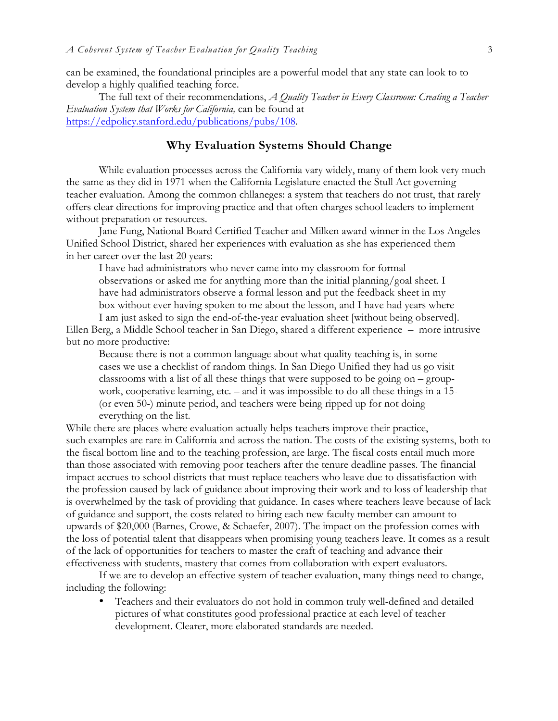can be examined, the foundational principles are a powerful model that any state can look to to develop a highly qualified teaching force.

The full text of their recommendations, *A Quality Teacher in Every Classroom: Creating a Teacher Evaluation System that Works for California,* can be found at https://edpolicy.stanford.edu/publications/pubs/108.

## **Why Evaluation Systems Should Change**

While evaluation processes across the California vary widely, many of them look very much the same as they did in 1971 when the California Legislature enacted the Stull Act governing teacher evaluation. Among the common chllaneges: a system that teachers do not trust, that rarely offers clear directions for improving practice and that often charges school leaders to implement without preparation or resources.

Jane Fung, National Board Certified Teacher and Milken award winner in the Los Angeles Unified School District, shared her experiences with evaluation as she has experienced them in her career over the last 20 years:

I have had administrators who never came into my classroom for formal observations or asked me for anything more than the initial planning/goal sheet. I have had administrators observe a formal lesson and put the feedback sheet in my box without ever having spoken to me about the lesson, and I have had years where I am just asked to sign the end-of-the-year evaluation sheet [without being observed].

Ellen Berg, a Middle School teacher in San Diego, shared a different experience – more intrusive but no more productive:

Because there is not a common language about what quality teaching is, in some cases we use a checklist of random things. In San Diego Unified they had us go visit classrooms with a list of all these things that were supposed to be going on – groupwork, cooperative learning, etc. – and it was impossible to do all these things in a 15- (or even 50-) minute period, and teachers were being ripped up for not doing everything on the list.

While there are places where evaluation actually helps teachers improve their practice, such examples are rare in California and across the nation. The costs of the existing systems, both to the fiscal bottom line and to the teaching profession, are large. The fiscal costs entail much more than those associated with removing poor teachers after the tenure deadline passes. The financial impact accrues to school districts that must replace teachers who leave due to dissatisfaction with the profession caused by lack of guidance about improving their work and to loss of leadership that is overwhelmed by the task of providing that guidance. In cases where teachers leave because of lack of guidance and support, the costs related to hiring each new faculty member can amount to upwards of \$20,000 (Barnes, Crowe, & Schaefer, 2007). The impact on the profession comes with the loss of potential talent that disappears when promising young teachers leave. It comes as a result of the lack of opportunities for teachers to master the craft of teaching and advance their effectiveness with students, mastery that comes from collaboration with expert evaluators.

If we are to develop an effective system of teacher evaluation, many things need to change, including the following:

• Teachers and their evaluators do not hold in common truly well-defined and detailed pictures of what constitutes good professional practice at each level of teacher development. Clearer, more elaborated standards are needed.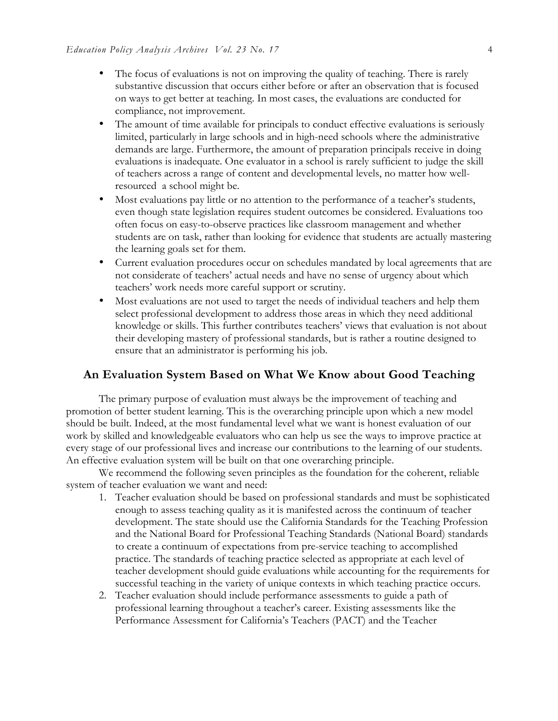- The focus of evaluations is not on improving the quality of teaching. There is rarely substantive discussion that occurs either before or after an observation that is focused on ways to get better at teaching. In most cases, the evaluations are conducted for compliance, not improvement.
- The amount of time available for principals to conduct effective evaluations is seriously limited, particularly in large schools and in high-need schools where the administrative demands are large. Furthermore, the amount of preparation principals receive in doing evaluations is inadequate. One evaluator in a school is rarely sufficient to judge the skill of teachers across a range of content and developmental levels, no matter how wellresourced a school might be.
- Most evaluations pay little or no attention to the performance of a teacher's students, even though state legislation requires student outcomes be considered. Evaluations too often focus on easy-to-observe practices like classroom management and whether students are on task, rather than looking for evidence that students are actually mastering the learning goals set for them.
- Current evaluation procedures occur on schedules mandated by local agreements that are not considerate of teachers' actual needs and have no sense of urgency about which teachers' work needs more careful support or scrutiny.
- Most evaluations are not used to target the needs of individual teachers and help them select professional development to address those areas in which they need additional knowledge or skills. This further contributes teachers' views that evaluation is not about their developing mastery of professional standards, but is rather a routine designed to ensure that an administrator is performing his job.

#### **An Evaluation System Based on What We Know about Good Teaching**

The primary purpose of evaluation must always be the improvement of teaching and promotion of better student learning. This is the overarching principle upon which a new model should be built. Indeed, at the most fundamental level what we want is honest evaluation of our work by skilled and knowledgeable evaluators who can help us see the ways to improve practice at every stage of our professional lives and increase our contributions to the learning of our students. An effective evaluation system will be built on that one overarching principle.

We recommend the following seven principles as the foundation for the coherent, reliable system of teacher evaluation we want and need:

- 1. Teacher evaluation should be based on professional standards and must be sophisticated enough to assess teaching quality as it is manifested across the continuum of teacher development. The state should use the California Standards for the Teaching Profession and the National Board for Professional Teaching Standards (National Board) standards to create a continuum of expectations from pre-service teaching to accomplished practice. The standards of teaching practice selected as appropriate at each level of teacher development should guide evaluations while accounting for the requirements for successful teaching in the variety of unique contexts in which teaching practice occurs.
- 2. Teacher evaluation should include performance assessments to guide a path of professional learning throughout a teacher's career. Existing assessments like the Performance Assessment for California's Teachers (PACT) and the Teacher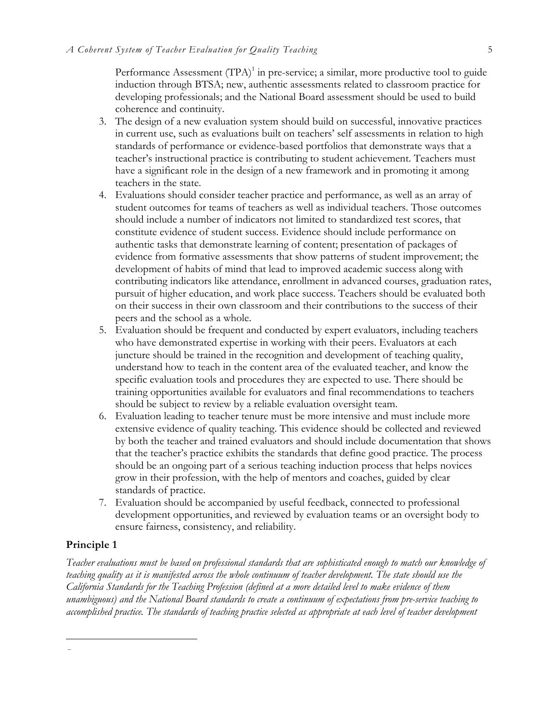Performance Assessment  $(TPA)^1$  in pre-service; a similar, more productive tool to guide induction through BTSA; new, authentic assessments related to classroom practice for developing professionals; and the National Board assessment should be used to build coherence and continuity.

- 3. The design of a new evaluation system should build on successful, innovative practices in current use, such as evaluations built on teachers' self assessments in relation to high standards of performance or evidence-based portfolios that demonstrate ways that a teacher's instructional practice is contributing to student achievement. Teachers must have a significant role in the design of a new framework and in promoting it among teachers in the state.
- 4. Evaluations should consider teacher practice and performance, as well as an array of student outcomes for teams of teachers as well as individual teachers. Those outcomes should include a number of indicators not limited to standardized test scores, that constitute evidence of student success. Evidence should include performance on authentic tasks that demonstrate learning of content; presentation of packages of evidence from formative assessments that show patterns of student improvement; the development of habits of mind that lead to improved academic success along with contributing indicators like attendance, enrollment in advanced courses, graduation rates, pursuit of higher education, and work place success. Teachers should be evaluated both on their success in their own classroom and their contributions to the success of their peers and the school as a whole.
- 5. Evaluation should be frequent and conducted by expert evaluators, including teachers who have demonstrated expertise in working with their peers. Evaluators at each juncture should be trained in the recognition and development of teaching quality, understand how to teach in the content area of the evaluated teacher, and know the specific evaluation tools and procedures they are expected to use. There should be training opportunities available for evaluators and final recommendations to teachers should be subject to review by a reliable evaluation oversight team.
- 6. Evaluation leading to teacher tenure must be more intensive and must include more extensive evidence of quality teaching. This evidence should be collected and reviewed by both the teacher and trained evaluators and should include documentation that shows that the teacher's practice exhibits the standards that define good practice. The process should be an ongoing part of a serious teaching induction process that helps novices grow in their profession, with the help of mentors and coaches, guided by clear standards of practice.
- 7. Evaluation should be accompanied by useful feedback, connected to professional development opportunities, and reviewed by evaluation teams or an oversight body to ensure fairness, consistency, and reliability.

#### **Principle 1**

–

*Teacher evaluations must be based on professional standards that are sophisticated enough to match our knowledge of teaching quality as it is manifested across the whole continuum of teacher development. The state should use the California Standards for the Teaching Profession (defined at a more detailed level to make evidence of them unambiguous) and the National Board standards to create a continuum of expectations from pre-service teaching to accomplished practice. The standards of teaching practice selected as appropriate at each level of teacher development*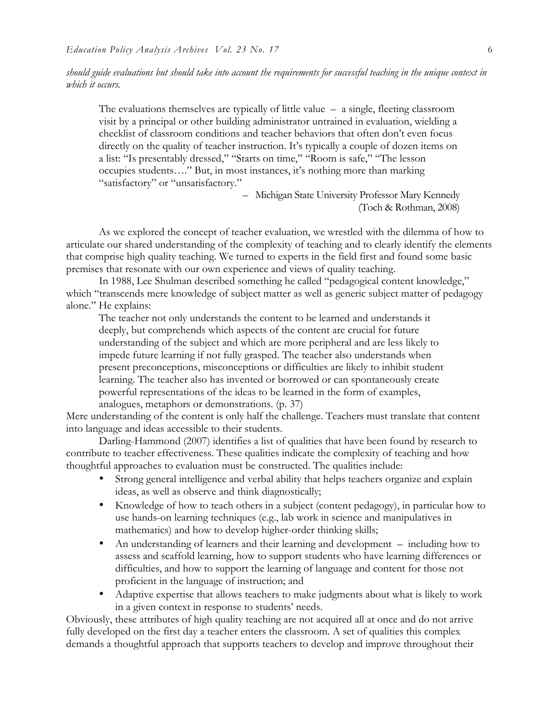*should guide evaluations but should take into account the requirements for successful teaching in the unique context in which it occurs.*

The evaluations themselves are typically of little value – a single, fleeting classroom visit by a principal or other building administrator untrained in evaluation, wielding a checklist of classroom conditions and teacher behaviors that often don't even focus directly on the quality of teacher instruction. It's typically a couple of dozen items on a list: "Is presentably dressed," "Starts on time," "Room is safe," "The lesson occupies students…." But, in most instances, it's nothing more than marking "satisfactory" or "unsatisfactory."

> – Michigan State University Professor Mary Kennedy (Toch & Rothman, 2008)

As we explored the concept of teacher evaluation, we wrestled with the dilemma of how to articulate our shared understanding of the complexity of teaching and to clearly identify the elements that comprise high quality teaching. We turned to experts in the field first and found some basic premises that resonate with our own experience and views of quality teaching.

In 1988, Lee Shulman described something he called "pedagogical content knowledge," which "transcends mere knowledge of subject matter as well as generic subject matter of pedagogy alone." He explains:

The teacher not only understands the content to be learned and understands it deeply, but comprehends which aspects of the content are crucial for future understanding of the subject and which are more peripheral and are less likely to impede future learning if not fully grasped. The teacher also understands when present preconceptions, misconceptions or difficulties are likely to inhibit student learning. The teacher also has invented or borrowed or can spontaneously create powerful representations of the ideas to be learned in the form of examples, analogues, metaphors or demonstrations. (p. 37)

Mere understanding of the content is only half the challenge. Teachers must translate that content into language and ideas accessible to their students.

Darling-Hammond (2007) identifies a list of qualities that have been found by research to contribute to teacher effectiveness. These qualities indicate the complexity of teaching and how thoughtful approaches to evaluation must be constructed. The qualities include:

- Strong general intelligence and verbal ability that helps teachers organize and explain ideas, as well as observe and think diagnostically;
- Knowledge of how to teach others in a subject (content pedagogy), in particular how to use hands-on learning techniques (e.g., lab work in science and manipulatives in mathematics) and how to develop higher-order thinking skills;
- An understanding of learners and their learning and development including how to assess and scaffold learning, how to support students who have learning differences or difficulties, and how to support the learning of language and content for those not proficient in the language of instruction; and
- Adaptive expertise that allows teachers to make judgments about what is likely to work in a given context in response to students' needs.

Obviously, these attributes of high quality teaching are not acquired all at once and do not arrive fully developed on the first day a teacher enters the classroom. A set of qualities this complex demands a thoughtful approach that supports teachers to develop and improve throughout their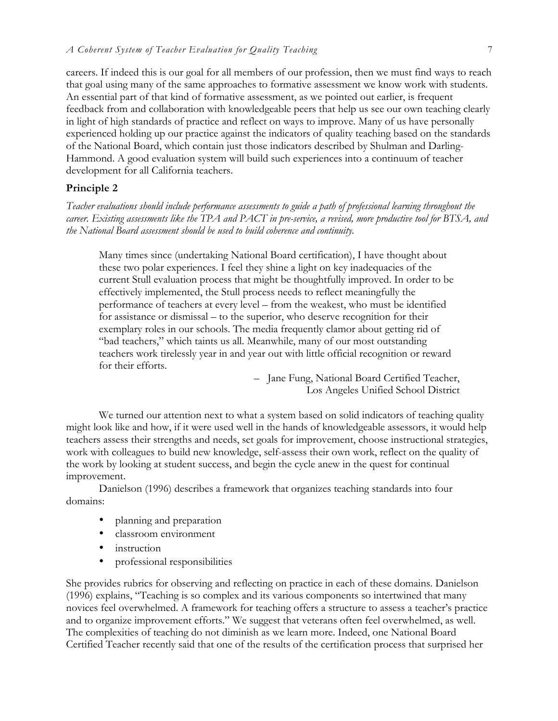careers. If indeed this is our goal for all members of our profession, then we must find ways to reach that goal using many of the same approaches to formative assessment we know work with students. An essential part of that kind of formative assessment, as we pointed out earlier, is frequent feedback from and collaboration with knowledgeable peers that help us see our own teaching clearly in light of high standards of practice and reflect on ways to improve. Many of us have personally experienced holding up our practice against the indicators of quality teaching based on the standards of the National Board, which contain just those indicators described by Shulman and Darling-Hammond. A good evaluation system will build such experiences into a continuum of teacher development for all California teachers.

#### **Principle 2**

*Teacher evaluations should include performance assessments to guide a path of professional learning throughout the career. Existing assessments like the TPA and PACT in pre-service, a revised, more productive tool for BTSA, and the National Board assessment should be used to build coherence and continuity.*

Many times since (undertaking National Board certification), I have thought about these two polar experiences. I feel they shine a light on key inadequacies of the current Stull evaluation process that might be thoughtfully improved. In order to be effectively implemented, the Stull process needs to reflect meaningfully the performance of teachers at every level – from the weakest, who must be identified for assistance or dismissal – to the superior, who deserve recognition for their exemplary roles in our schools. The media frequently clamor about getting rid of "bad teachers," which taints us all. Meanwhile, many of our most outstanding teachers work tirelessly year in and year out with little official recognition or reward for their efforts.

> – Jane Fung, National Board Certified Teacher, Los Angeles Unified School District

We turned our attention next to what a system based on solid indicators of teaching quality might look like and how, if it were used well in the hands of knowledgeable assessors, it would help teachers assess their strengths and needs, set goals for improvement, choose instructional strategies, work with colleagues to build new knowledge, self-assess their own work, reflect on the quality of the work by looking at student success, and begin the cycle anew in the quest for continual improvement.

Danielson (1996) describes a framework that organizes teaching standards into four domains:

- planning and preparation
- classroom environment
- instruction
- professional responsibilities

She provides rubrics for observing and reflecting on practice in each of these domains. Danielson (1996) explains, "Teaching is so complex and its various components so intertwined that many novices feel overwhelmed. A framework for teaching offers a structure to assess a teacher's practice and to organize improvement efforts." We suggest that veterans often feel overwhelmed, as well. The complexities of teaching do not diminish as we learn more. Indeed, one National Board Certified Teacher recently said that one of the results of the certification process that surprised her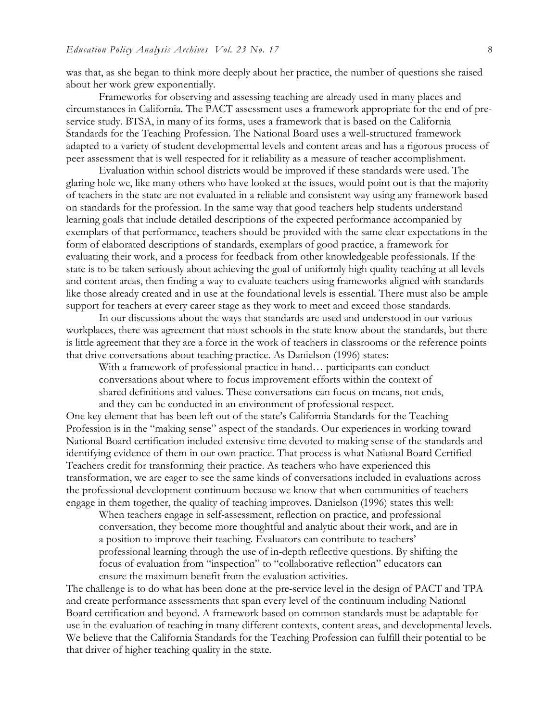was that, as she began to think more deeply about her practice, the number of questions she raised about her work grew exponentially.

Frameworks for observing and assessing teaching are already used in many places and circumstances in California. The PACT assessment uses a framework appropriate for the end of preservice study. BTSA, in many of its forms, uses a framework that is based on the California Standards for the Teaching Profession. The National Board uses a well-structured framework adapted to a variety of student developmental levels and content areas and has a rigorous process of peer assessment that is well respected for it reliability as a measure of teacher accomplishment.

Evaluation within school districts would be improved if these standards were used. The glaring hole we, like many others who have looked at the issues, would point out is that the majority of teachers in the state are not evaluated in a reliable and consistent way using any framework based on standards for the profession. In the same way that good teachers help students understand learning goals that include detailed descriptions of the expected performance accompanied by exemplars of that performance, teachers should be provided with the same clear expectations in the form of elaborated descriptions of standards, exemplars of good practice, a framework for evaluating their work, and a process for feedback from other knowledgeable professionals. If the state is to be taken seriously about achieving the goal of uniformly high quality teaching at all levels and content areas, then finding a way to evaluate teachers using frameworks aligned with standards like those already created and in use at the foundational levels is essential. There must also be ample support for teachers at every career stage as they work to meet and exceed those standards.

In our discussions about the ways that standards are used and understood in our various workplaces, there was agreement that most schools in the state know about the standards, but there is little agreement that they are a force in the work of teachers in classrooms or the reference points that drive conversations about teaching practice. As Danielson (1996) states:

With a framework of professional practice in hand... participants can conduct conversations about where to focus improvement efforts within the context of shared definitions and values. These conversations can focus on means, not ends, and they can be conducted in an environment of professional respect.

One key element that has been left out of the state's California Standards for the Teaching Profession is in the "making sense" aspect of the standards. Our experiences in working toward National Board certification included extensive time devoted to making sense of the standards and identifying evidence of them in our own practice. That process is what National Board Certified Teachers credit for transforming their practice. As teachers who have experienced this transformation, we are eager to see the same kinds of conversations included in evaluations across the professional development continuum because we know that when communities of teachers engage in them together, the quality of teaching improves. Danielson (1996) states this well:

When teachers engage in self-assessment, reflection on practice, and professional conversation, they become more thoughtful and analytic about their work, and are in a position to improve their teaching. Evaluators can contribute to teachers' professional learning through the use of in-depth reflective questions. By shifting the focus of evaluation from "inspection" to "collaborative reflection" educators can ensure the maximum benefit from the evaluation activities.

The challenge is to do what has been done at the pre-service level in the design of PACT and TPA and create performance assessments that span every level of the continuum including National Board certification and beyond. A framework based on common standards must be adaptable for use in the evaluation of teaching in many different contexts, content areas, and developmental levels. We believe that the California Standards for the Teaching Profession can fulfill their potential to be that driver of higher teaching quality in the state.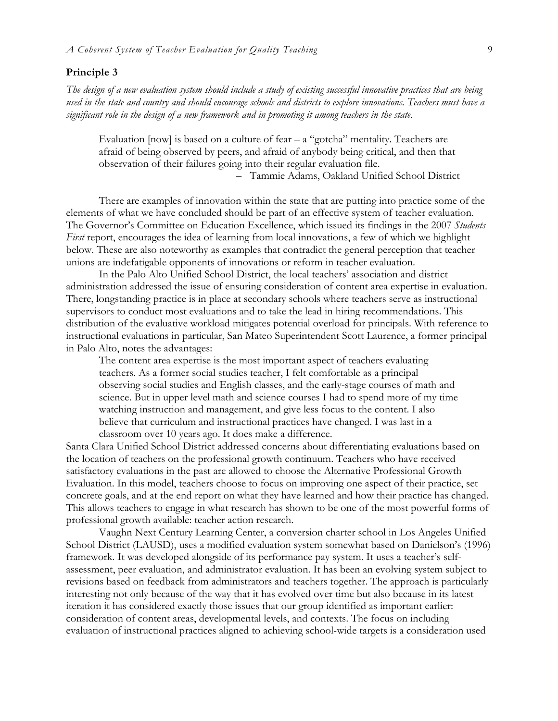#### **Principle 3**

*The design of a new evaluation system should include a study of existing successful innovative practices that are being used in the state and country and should encourage schools and districts to explore innovations. Teachers must have a significant role in the design of a new framework and in promoting it among teachers in the state.*

Evaluation [now] is based on a culture of fear – a "gotcha" mentality. Teachers are afraid of being observed by peers, and afraid of anybody being critical, and then that observation of their failures going into their regular evaluation file.

– Tammie Adams, Oakland Unified School District

There are examples of innovation within the state that are putting into practice some of the elements of what we have concluded should be part of an effective system of teacher evaluation. The Governor's Committee on Education Excellence, which issued its findings in the 2007 *Students First* report, encourages the idea of learning from local innovations, a few of which we highlight below. These are also noteworthy as examples that contradict the general perception that teacher unions are indefatigable opponents of innovations or reform in teacher evaluation.

In the Palo Alto Unified School District, the local teachers' association and district administration addressed the issue of ensuring consideration of content area expertise in evaluation. There, longstanding practice is in place at secondary schools where teachers serve as instructional supervisors to conduct most evaluations and to take the lead in hiring recommendations. This distribution of the evaluative workload mitigates potential overload for principals. With reference to instructional evaluations in particular, San Mateo Superintendent Scott Laurence, a former principal in Palo Alto, notes the advantages:

The content area expertise is the most important aspect of teachers evaluating teachers. As a former social studies teacher, I felt comfortable as a principal observing social studies and English classes, and the early-stage courses of math and science. But in upper level math and science courses I had to spend more of my time watching instruction and management, and give less focus to the content. I also believe that curriculum and instructional practices have changed. I was last in a classroom over 10 years ago. It does make a difference.

Santa Clara Unified School District addressed concerns about differentiating evaluations based on the location of teachers on the professional growth continuum. Teachers who have received satisfactory evaluations in the past are allowed to choose the Alternative Professional Growth Evaluation. In this model, teachers choose to focus on improving one aspect of their practice, set concrete goals, and at the end report on what they have learned and how their practice has changed. This allows teachers to engage in what research has shown to be one of the most powerful forms of professional growth available: teacher action research.

Vaughn Next Century Learning Center, a conversion charter school in Los Angeles Unified School District (LAUSD), uses a modified evaluation system somewhat based on Danielson's (1996) framework. It was developed alongside of its performance pay system. It uses a teacher's selfassessment, peer evaluation, and administrator evaluation. It has been an evolving system subject to revisions based on feedback from administrators and teachers together. The approach is particularly interesting not only because of the way that it has evolved over time but also because in its latest iteration it has considered exactly those issues that our group identified as important earlier: consideration of content areas, developmental levels, and contexts. The focus on including evaluation of instructional practices aligned to achieving school-wide targets is a consideration used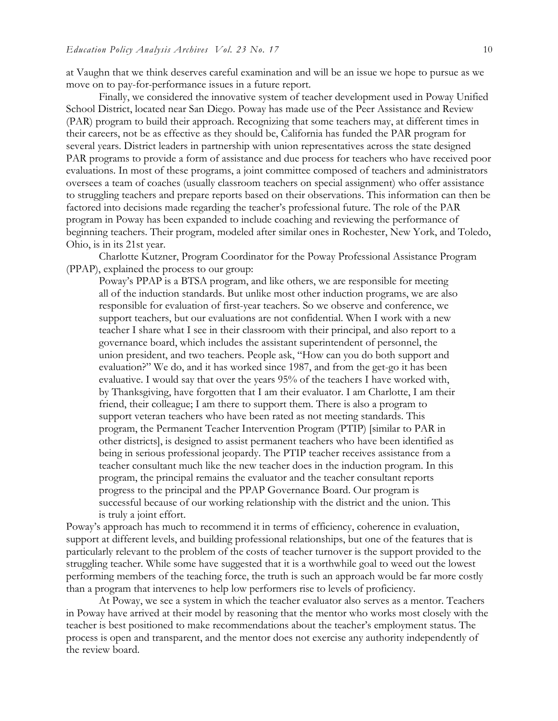at Vaughn that we think deserves careful examination and will be an issue we hope to pursue as we move on to pay-for-performance issues in a future report.

Finally, we considered the innovative system of teacher development used in Poway Unified School District, located near San Diego. Poway has made use of the Peer Assistance and Review (PAR) program to build their approach. Recognizing that some teachers may, at different times in their careers, not be as effective as they should be, California has funded the PAR program for several years. District leaders in partnership with union representatives across the state designed PAR programs to provide a form of assistance and due process for teachers who have received poor evaluations. In most of these programs, a joint committee composed of teachers and administrators oversees a team of coaches (usually classroom teachers on special assignment) who offer assistance to struggling teachers and prepare reports based on their observations. This information can then be factored into decisions made regarding the teacher's professional future. The role of the PAR program in Poway has been expanded to include coaching and reviewing the performance of beginning teachers. Their program, modeled after similar ones in Rochester, New York, and Toledo, Ohio, is in its 21st year.

Charlotte Kutzner, Program Coordinator for the Poway Professional Assistance Program (PPAP), explained the process to our group:

Poway's PPAP is a BTSA program, and like others, we are responsible for meeting all of the induction standards. But unlike most other induction programs, we are also responsible for evaluation of first-year teachers. So we observe and conference, we support teachers, but our evaluations are not confidential. When I work with a new teacher I share what I see in their classroom with their principal, and also report to a governance board, which includes the assistant superintendent of personnel, the union president, and two teachers. People ask, "How can you do both support and evaluation?" We do, and it has worked since 1987, and from the get-go it has been evaluative. I would say that over the years 95% of the teachers I have worked with, by Thanksgiving, have forgotten that I am their evaluator. I am Charlotte, I am their friend, their colleague; I am there to support them. There is also a program to support veteran teachers who have been rated as not meeting standards. This program, the Permanent Teacher Intervention Program (PTIP) [similar to PAR in other districts], is designed to assist permanent teachers who have been identified as being in serious professional jeopardy. The PTIP teacher receives assistance from a teacher consultant much like the new teacher does in the induction program. In this program, the principal remains the evaluator and the teacher consultant reports progress to the principal and the PPAP Governance Board. Our program is successful because of our working relationship with the district and the union. This is truly a joint effort.

Poway's approach has much to recommend it in terms of efficiency, coherence in evaluation, support at different levels, and building professional relationships, but one of the features that is particularly relevant to the problem of the costs of teacher turnover is the support provided to the struggling teacher. While some have suggested that it is a worthwhile goal to weed out the lowest performing members of the teaching force, the truth is such an approach would be far more costly than a program that intervenes to help low performers rise to levels of proficiency.

At Poway, we see a system in which the teacher evaluator also serves as a mentor. Teachers in Poway have arrived at their model by reasoning that the mentor who works most closely with the teacher is best positioned to make recommendations about the teacher's employment status. The process is open and transparent, and the mentor does not exercise any authority independently of the review board.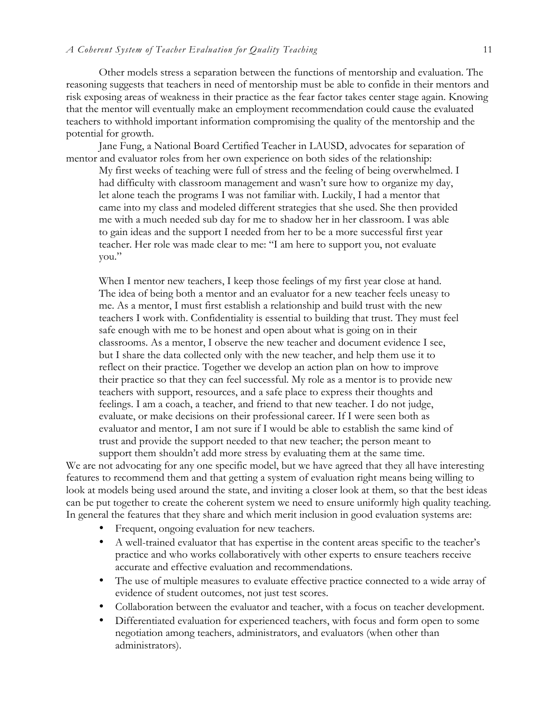Other models stress a separation between the functions of mentorship and evaluation. The reasoning suggests that teachers in need of mentorship must be able to confide in their mentors and risk exposing areas of weakness in their practice as the fear factor takes center stage again. Knowing that the mentor will eventually make an employment recommendation could cause the evaluated teachers to withhold important information compromising the quality of the mentorship and the potential for growth.

Jane Fung, a National Board Certified Teacher in LAUSD, advocates for separation of mentor and evaluator roles from her own experience on both sides of the relationship:

My first weeks of teaching were full of stress and the feeling of being overwhelmed. I had difficulty with classroom management and wasn't sure how to organize my day, let alone teach the programs I was not familiar with. Luckily, I had a mentor that came into my class and modeled different strategies that she used. She then provided me with a much needed sub day for me to shadow her in her classroom. I was able to gain ideas and the support I needed from her to be a more successful first year teacher. Her role was made clear to me: "I am here to support you, not evaluate you."

When I mentor new teachers, I keep those feelings of my first year close at hand. The idea of being both a mentor and an evaluator for a new teacher feels uneasy to me. As a mentor, I must first establish a relationship and build trust with the new teachers I work with. Confidentiality is essential to building that trust. They must feel safe enough with me to be honest and open about what is going on in their classrooms. As a mentor, I observe the new teacher and document evidence I see, but I share the data collected only with the new teacher, and help them use it to reflect on their practice. Together we develop an action plan on how to improve their practice so that they can feel successful. My role as a mentor is to provide new teachers with support, resources, and a safe place to express their thoughts and feelings. I am a coach, a teacher, and friend to that new teacher. I do not judge, evaluate, or make decisions on their professional career. If I were seen both as evaluator and mentor, I am not sure if I would be able to establish the same kind of trust and provide the support needed to that new teacher; the person meant to support them shouldn't add more stress by evaluating them at the same time.

We are not advocating for any one specific model, but we have agreed that they all have interesting features to recommend them and that getting a system of evaluation right means being willing to look at models being used around the state, and inviting a closer look at them, so that the best ideas can be put together to create the coherent system we need to ensure uniformly high quality teaching. In general the features that they share and which merit inclusion in good evaluation systems are:

- Frequent, ongoing evaluation for new teachers.
- A well-trained evaluator that has expertise in the content areas specific to the teacher's practice and who works collaboratively with other experts to ensure teachers receive accurate and effective evaluation and recommendations.
- The use of multiple measures to evaluate effective practice connected to a wide array of evidence of student outcomes, not just test scores.
- Collaboration between the evaluator and teacher, with a focus on teacher development.
- Differentiated evaluation for experienced teachers, with focus and form open to some negotiation among teachers, administrators, and evaluators (when other than administrators).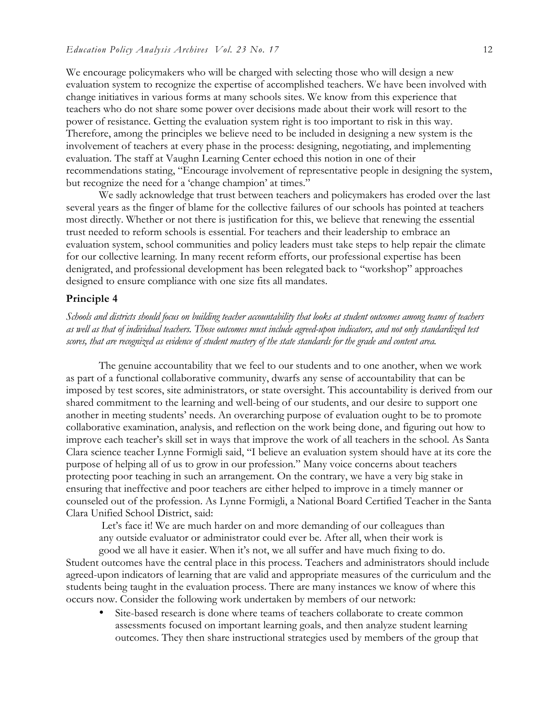We encourage policymakers who will be charged with selecting those who will design a new evaluation system to recognize the expertise of accomplished teachers. We have been involved with change initiatives in various forms at many schools sites. We know from this experience that teachers who do not share some power over decisions made about their work will resort to the power of resistance. Getting the evaluation system right is too important to risk in this way. Therefore, among the principles we believe need to be included in designing a new system is the involvement of teachers at every phase in the process: designing, negotiating, and implementing evaluation. The staff at Vaughn Learning Center echoed this notion in one of their recommendations stating, "Encourage involvement of representative people in designing the system, but recognize the need for a 'change champion' at times."

We sadly acknowledge that trust between teachers and policymakers has eroded over the last several years as the finger of blame for the collective failures of our schools has pointed at teachers most directly. Whether or not there is justification for this, we believe that renewing the essential trust needed to reform schools is essential. For teachers and their leadership to embrace an evaluation system, school communities and policy leaders must take steps to help repair the climate for our collective learning. In many recent reform efforts, our professional expertise has been denigrated, and professional development has been relegated back to "workshop" approaches designed to ensure compliance with one size fits all mandates.

#### **Principle 4**

*Schools and districts should focus on building teacher accountability that looks at student outcomes among teams of teachers as well as that of individual teachers. Those outcomes must include agreed-upon indicators, and not only standardized test scores, that are recognized as evidence of student mastery of the state standards for the grade and content area.*

The genuine accountability that we feel to our students and to one another, when we work as part of a functional collaborative community, dwarfs any sense of accountability that can be imposed by test scores, site administrators, or state oversight. This accountability is derived from our shared commitment to the learning and well-being of our students, and our desire to support one another in meeting students' needs. An overarching purpose of evaluation ought to be to promote collaborative examination, analysis, and reflection on the work being done, and figuring out how to improve each teacher's skill set in ways that improve the work of all teachers in the school. As Santa Clara science teacher Lynne Formigli said, "I believe an evaluation system should have at its core the purpose of helping all of us to grow in our profession." Many voice concerns about teachers protecting poor teaching in such an arrangement. On the contrary, we have a very big stake in ensuring that ineffective and poor teachers are either helped to improve in a timely manner or counseled out of the profession. As Lynne Formigli, a National Board Certified Teacher in the Santa Clara Unified School District, said:

Let's face it! We are much harder on and more demanding of our colleagues than any outside evaluator or administrator could ever be. After all, when their work is

good we all have it easier. When it's not, we all suffer and have much fixing to do. Student outcomes have the central place in this process. Teachers and administrators should include agreed-upon indicators of learning that are valid and appropriate measures of the curriculum and the students being taught in the evaluation process. There are many instances we know of where this occurs now. Consider the following work undertaken by members of our network:

Site-based research is done where teams of teachers collaborate to create common assessments focused on important learning goals, and then analyze student learning outcomes. They then share instructional strategies used by members of the group that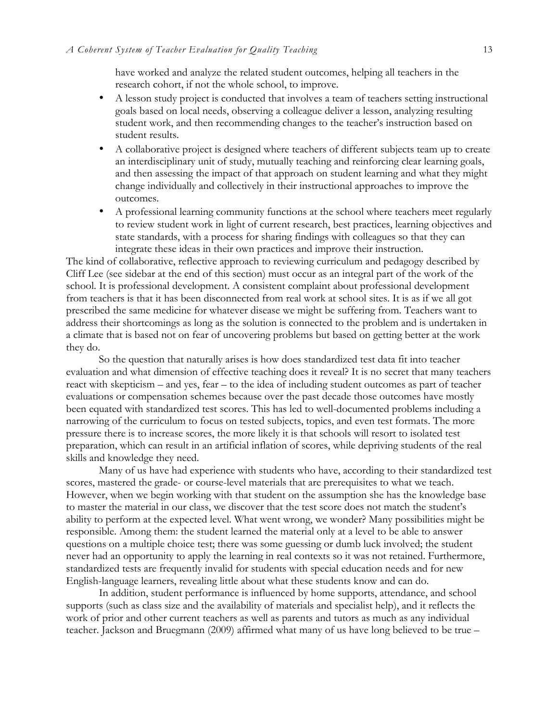have worked and analyze the related student outcomes, helping all teachers in the research cohort, if not the whole school, to improve.

- A lesson study project is conducted that involves a team of teachers setting instructional goals based on local needs, observing a colleague deliver a lesson, analyzing resulting student work, and then recommending changes to the teacher's instruction based on student results.
- A collaborative project is designed where teachers of different subjects team up to create an interdisciplinary unit of study, mutually teaching and reinforcing clear learning goals, and then assessing the impact of that approach on student learning and what they might change individually and collectively in their instructional approaches to improve the outcomes.
- A professional learning community functions at the school where teachers meet regularly to review student work in light of current research, best practices, learning objectives and state standards, with a process for sharing findings with colleagues so that they can integrate these ideas in their own practices and improve their instruction.

The kind of collaborative, reflective approach to reviewing curriculum and pedagogy described by Cliff Lee (see sidebar at the end of this section) must occur as an integral part of the work of the school. It is professional development. A consistent complaint about professional development from teachers is that it has been disconnected from real work at school sites. It is as if we all got prescribed the same medicine for whatever disease we might be suffering from. Teachers want to address their shortcomings as long as the solution is connected to the problem and is undertaken in a climate that is based not on fear of uncovering problems but based on getting better at the work they do.

So the question that naturally arises is how does standardized test data fit into teacher evaluation and what dimension of effective teaching does it reveal? It is no secret that many teachers react with skepticism – and yes, fear – to the idea of including student outcomes as part of teacher evaluations or compensation schemes because over the past decade those outcomes have mostly been equated with standardized test scores. This has led to well-documented problems including a narrowing of the curriculum to focus on tested subjects, topics, and even test formats. The more pressure there is to increase scores, the more likely it is that schools will resort to isolated test preparation, which can result in an artificial inflation of scores, while depriving students of the real skills and knowledge they need.

Many of us have had experience with students who have, according to their standardized test scores, mastered the grade- or course-level materials that are prerequisites to what we teach. However, when we begin working with that student on the assumption she has the knowledge base to master the material in our class, we discover that the test score does not match the student's ability to perform at the expected level. What went wrong, we wonder? Many possibilities might be responsible. Among them: the student learned the material only at a level to be able to answer questions on a multiple choice test; there was some guessing or dumb luck involved; the student never had an opportunity to apply the learning in real contexts so it was not retained. Furthermore, standardized tests are frequently invalid for students with special education needs and for new English-language learners, revealing little about what these students know and can do.

In addition, student performance is influenced by home supports, attendance, and school supports (such as class size and the availability of materials and specialist help), and it reflects the work of prior and other current teachers as well as parents and tutors as much as any individual teacher. Jackson and Bruegmann (2009) affirmed what many of us have long believed to be true –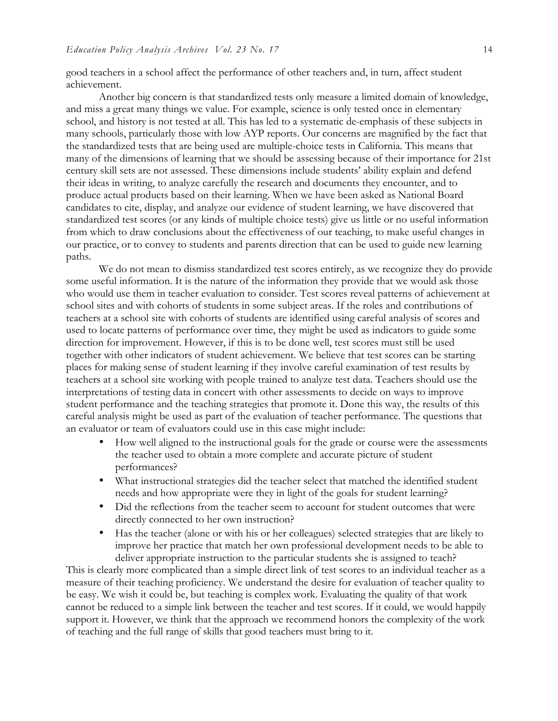good teachers in a school affect the performance of other teachers and, in turn, affect student achievement.

Another big concern is that standardized tests only measure a limited domain of knowledge, and miss a great many things we value. For example, science is only tested once in elementary school, and history is not tested at all. This has led to a systematic de-emphasis of these subjects in many schools, particularly those with low AYP reports. Our concerns are magnified by the fact that the standardized tests that are being used are multiple-choice tests in California. This means that many of the dimensions of learning that we should be assessing because of their importance for 21st century skill sets are not assessed. These dimensions include students' ability explain and defend their ideas in writing, to analyze carefully the research and documents they encounter, and to produce actual products based on their learning. When we have been asked as National Board candidates to cite, display, and analyze our evidence of student learning, we have discovered that standardized test scores (or any kinds of multiple choice tests) give us little or no useful information from which to draw conclusions about the effectiveness of our teaching, to make useful changes in our practice, or to convey to students and parents direction that can be used to guide new learning paths.

We do not mean to dismiss standardized test scores entirely, as we recognize they do provide some useful information. It is the nature of the information they provide that we would ask those who would use them in teacher evaluation to consider. Test scores reveal patterns of achievement at school sites and with cohorts of students in some subject areas. If the roles and contributions of teachers at a school site with cohorts of students are identified using careful analysis of scores and used to locate patterns of performance over time, they might be used as indicators to guide some direction for improvement. However, if this is to be done well, test scores must still be used together with other indicators of student achievement. We believe that test scores can be starting places for making sense of student learning if they involve careful examination of test results by teachers at a school site working with people trained to analyze test data. Teachers should use the interpretations of testing data in concert with other assessments to decide on ways to improve student performance and the teaching strategies that promote it. Done this way, the results of this careful analysis might be used as part of the evaluation of teacher performance. The questions that an evaluator or team of evaluators could use in this case might include:

- How well aligned to the instructional goals for the grade or course were the assessments the teacher used to obtain a more complete and accurate picture of student performances?
- What instructional strategies did the teacher select that matched the identified student needs and how appropriate were they in light of the goals for student learning?
- Did the reflections from the teacher seem to account for student outcomes that were directly connected to her own instruction?
- Has the teacher (alone or with his or her colleagues) selected strategies that are likely to improve her practice that match her own professional development needs to be able to deliver appropriate instruction to the particular students she is assigned to teach?

This is clearly more complicated than a simple direct link of test scores to an individual teacher as a measure of their teaching proficiency. We understand the desire for evaluation of teacher quality to be easy. We wish it could be, but teaching is complex work. Evaluating the quality of that work cannot be reduced to a simple link between the teacher and test scores. If it could, we would happily support it. However, we think that the approach we recommend honors the complexity of the work of teaching and the full range of skills that good teachers must bring to it.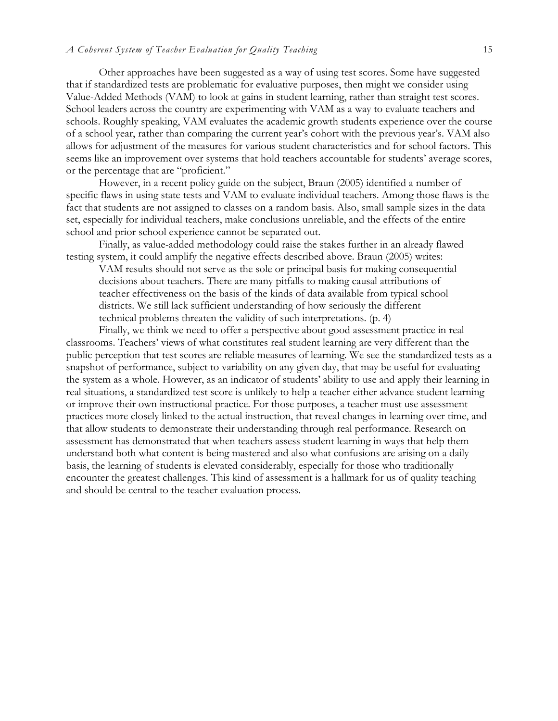Other approaches have been suggested as a way of using test scores. Some have suggested that if standardized tests are problematic for evaluative purposes, then might we consider using Value-Added Methods (VAM) to look at gains in student learning, rather than straight test scores. School leaders across the country are experimenting with VAM as a way to evaluate teachers and schools. Roughly speaking, VAM evaluates the academic growth students experience over the course of a school year, rather than comparing the current year's cohort with the previous year's. VAM also allows for adjustment of the measures for various student characteristics and for school factors. This seems like an improvement over systems that hold teachers accountable for students' average scores, or the percentage that are "proficient."

However, in a recent policy guide on the subject, Braun (2005) identified a number of specific flaws in using state tests and VAM to evaluate individual teachers. Among those flaws is the fact that students are not assigned to classes on a random basis. Also, small sample sizes in the data set, especially for individual teachers, make conclusions unreliable, and the effects of the entire school and prior school experience cannot be separated out.

Finally, as value-added methodology could raise the stakes further in an already flawed testing system, it could amplify the negative effects described above. Braun (2005) writes:

VAM results should not serve as the sole or principal basis for making consequential decisions about teachers. There are many pitfalls to making causal attributions of teacher effectiveness on the basis of the kinds of data available from typical school districts. We still lack sufficient understanding of how seriously the different technical problems threaten the validity of such interpretations. (p. 4)

Finally, we think we need to offer a perspective about good assessment practice in real classrooms. Teachers' views of what constitutes real student learning are very different than the public perception that test scores are reliable measures of learning. We see the standardized tests as a snapshot of performance, subject to variability on any given day, that may be useful for evaluating the system as a whole. However, as an indicator of students' ability to use and apply their learning in real situations, a standardized test score is unlikely to help a teacher either advance student learning or improve their own instructional practice. For those purposes, a teacher must use assessment practices more closely linked to the actual instruction, that reveal changes in learning over time, and that allow students to demonstrate their understanding through real performance. Research on assessment has demonstrated that when teachers assess student learning in ways that help them understand both what content is being mastered and also what confusions are arising on a daily basis, the learning of students is elevated considerably, especially for those who traditionally encounter the greatest challenges. This kind of assessment is a hallmark for us of quality teaching and should be central to the teacher evaluation process.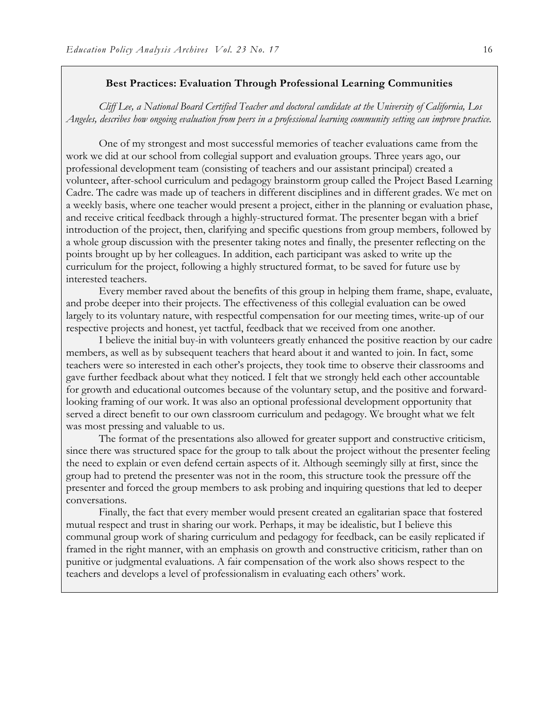#### **Best Practices: Evaluation Through Professional Learning Communities**

*Cliff Lee, a National Board Certified Teacher and doctoral candidate at the University of California, Los Angeles, describes how ongoing evaluation from peers in a professional learning community setting can improve practice.*

One of my strongest and most successful memories of teacher evaluations came from the work we did at our school from collegial support and evaluation groups. Three years ago, our professional development team (consisting of teachers and our assistant principal) created a volunteer, after-school curriculum and pedagogy brainstorm group called the Project Based Learning Cadre. The cadre was made up of teachers in different disciplines and in different grades. We met on a weekly basis, where one teacher would present a project, either in the planning or evaluation phase, and receive critical feedback through a highly-structured format. The presenter began with a brief introduction of the project, then, clarifying and specific questions from group members, followed by a whole group discussion with the presenter taking notes and finally, the presenter reflecting on the points brought up by her colleagues. In addition, each participant was asked to write up the curriculum for the project, following a highly structured format, to be saved for future use by interested teachers.

Every member raved about the benefits of this group in helping them frame, shape, evaluate, and probe deeper into their projects. The effectiveness of this collegial evaluation can be owed largely to its voluntary nature, with respectful compensation for our meeting times, write-up of our respective projects and honest, yet tactful, feedback that we received from one another.

I believe the initial buy-in with volunteers greatly enhanced the positive reaction by our cadre members, as well as by subsequent teachers that heard about it and wanted to join. In fact, some teachers were so interested in each other's projects, they took time to observe their classrooms and gave further feedback about what they noticed. I felt that we strongly held each other accountable for growth and educational outcomes because of the voluntary setup, and the positive and forwardlooking framing of our work. It was also an optional professional development opportunity that served a direct benefit to our own classroom curriculum and pedagogy. We brought what we felt was most pressing and valuable to us.

The format of the presentations also allowed for greater support and constructive criticism, since there was structured space for the group to talk about the project without the presenter feeling the need to explain or even defend certain aspects of it. Although seemingly silly at first, since the group had to pretend the presenter was not in the room, this structure took the pressure off the presenter and forced the group members to ask probing and inquiring questions that led to deeper conversations.

Finally, the fact that every member would present created an egalitarian space that fostered mutual respect and trust in sharing our work. Perhaps, it may be idealistic, but I believe this communal group work of sharing curriculum and pedagogy for feedback, can be easily replicated if framed in the right manner, with an emphasis on growth and constructive criticism, rather than on punitive or judgmental evaluations. A fair compensation of the work also shows respect to the teachers and develops a level of professionalism in evaluating each others' work.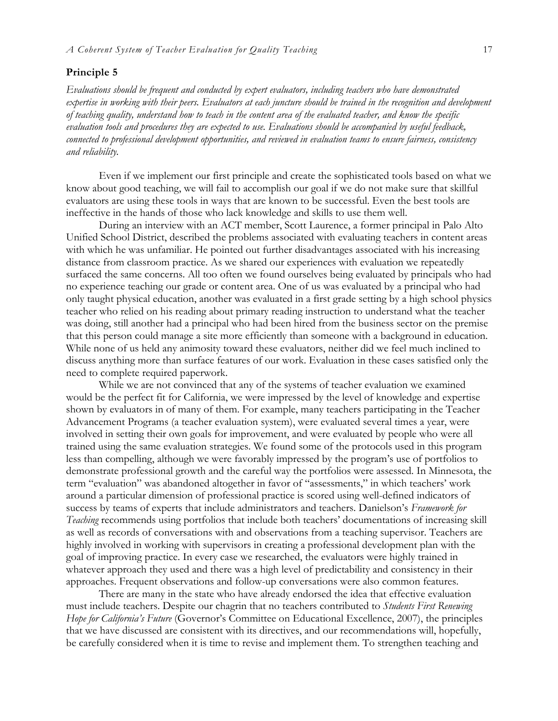#### **Principle 5**

*Evaluations should be frequent and conducted by expert evaluators, including teachers who have demonstrated expertise in working with their peers. Evaluators at each juncture should be trained in the recognition and development of teaching quality, understand how to teach in the content area of the evaluated teacher, and know the specific evaluation tools and procedures they are expected to use. Evaluations should be accompanied by useful feedback, connected to professional development opportunities, and reviewed in evaluation teams to ensure fairness, consistency and reliability.*

Even if we implement our first principle and create the sophisticated tools based on what we know about good teaching, we will fail to accomplish our goal if we do not make sure that skillful evaluators are using these tools in ways that are known to be successful. Even the best tools are ineffective in the hands of those who lack knowledge and skills to use them well.

During an interview with an ACT member, Scott Laurence, a former principal in Palo Alto Unified School District, described the problems associated with evaluating teachers in content areas with which he was unfamiliar. He pointed out further disadvantages associated with his increasing distance from classroom practice. As we shared our experiences with evaluation we repeatedly surfaced the same concerns. All too often we found ourselves being evaluated by principals who had no experience teaching our grade or content area. One of us was evaluated by a principal who had only taught physical education, another was evaluated in a first grade setting by a high school physics teacher who relied on his reading about primary reading instruction to understand what the teacher was doing, still another had a principal who had been hired from the business sector on the premise that this person could manage a site more efficiently than someone with a background in education. While none of us held any animosity toward these evaluators, neither did we feel much inclined to discuss anything more than surface features of our work. Evaluation in these cases satisfied only the need to complete required paperwork.

While we are not convinced that any of the systems of teacher evaluation we examined would be the perfect fit for California, we were impressed by the level of knowledge and expertise shown by evaluators in of many of them. For example, many teachers participating in the Teacher Advancement Programs (a teacher evaluation system), were evaluated several times a year, were involved in setting their own goals for improvement, and were evaluated by people who were all trained using the same evaluation strategies. We found some of the protocols used in this program less than compelling, although we were favorably impressed by the program's use of portfolios to demonstrate professional growth and the careful way the portfolios were assessed. In Minnesota, the term "evaluation" was abandoned altogether in favor of "assessments," in which teachers' work around a particular dimension of professional practice is scored using well-defined indicators of success by teams of experts that include administrators and teachers. Danielson's *Framework for Teaching* recommends using portfolios that include both teachers' documentations of increasing skill as well as records of conversations with and observations from a teaching supervisor. Teachers are highly involved in working with supervisors in creating a professional development plan with the goal of improving practice. In every case we researched, the evaluators were highly trained in whatever approach they used and there was a high level of predictability and consistency in their approaches. Frequent observations and follow-up conversations were also common features.

There are many in the state who have already endorsed the idea that effective evaluation must include teachers. Despite our chagrin that no teachers contributed to *Students First Renewing Hope for California's Future* (Governor's Committee on Educational Excellence, 2007), the principles that we have discussed are consistent with its directives, and our recommendations will, hopefully, be carefully considered when it is time to revise and implement them. To strengthen teaching and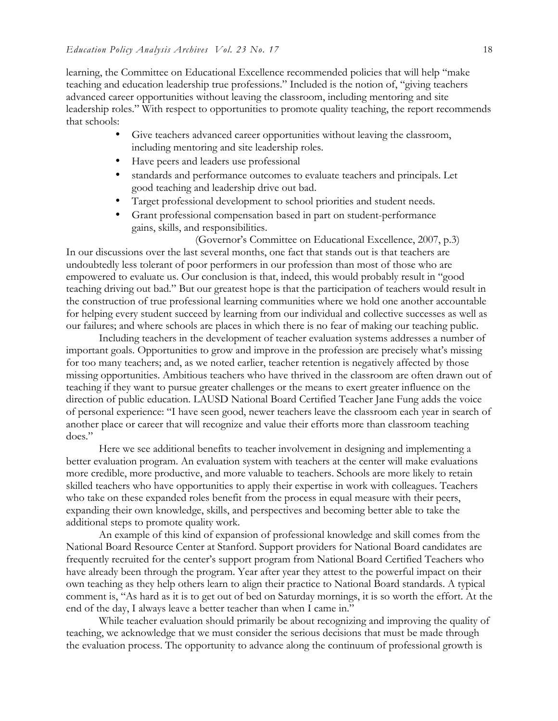learning, the Committee on Educational Excellence recommended policies that will help "make teaching and education leadership true professions." Included is the notion of, "giving teachers advanced career opportunities without leaving the classroom, including mentoring and site leadership roles." With respect to opportunities to promote quality teaching, the report recommends that schools:

- Give teachers advanced career opportunities without leaving the classroom, including mentoring and site leadership roles.
- Have peers and leaders use professional
- standards and performance outcomes to evaluate teachers and principals. Let good teaching and leadership drive out bad.
- Target professional development to school priorities and student needs.
- Grant professional compensation based in part on student-performance gains, skills, and responsibilities.

(Governor's Committee on Educational Excellence, 2007, p.3) In our discussions over the last several months, one fact that stands out is that teachers are undoubtedly less tolerant of poor performers in our profession than most of those who are empowered to evaluate us. Our conclusion is that, indeed, this would probably result in "good teaching driving out bad." But our greatest hope is that the participation of teachers would result in the construction of true professional learning communities where we hold one another accountable for helping every student succeed by learning from our individual and collective successes as well as our failures; and where schools are places in which there is no fear of making our teaching public.

Including teachers in the development of teacher evaluation systems addresses a number of important goals. Opportunities to grow and improve in the profession are precisely what's missing for too many teachers; and, as we noted earlier, teacher retention is negatively affected by those missing opportunities. Ambitious teachers who have thrived in the classroom are often drawn out of teaching if they want to pursue greater challenges or the means to exert greater influence on the direction of public education. LAUSD National Board Certified Teacher Jane Fung adds the voice of personal experience: "I have seen good, newer teachers leave the classroom each year in search of another place or career that will recognize and value their efforts more than classroom teaching does."

Here we see additional benefits to teacher involvement in designing and implementing a better evaluation program. An evaluation system with teachers at the center will make evaluations more credible, more productive, and more valuable to teachers. Schools are more likely to retain skilled teachers who have opportunities to apply their expertise in work with colleagues. Teachers who take on these expanded roles benefit from the process in equal measure with their peers, expanding their own knowledge, skills, and perspectives and becoming better able to take the additional steps to promote quality work.

An example of this kind of expansion of professional knowledge and skill comes from the National Board Resource Center at Stanford. Support providers for National Board candidates are frequently recruited for the center's support program from National Board Certified Teachers who have already been through the program. Year after year they attest to the powerful impact on their own teaching as they help others learn to align their practice to National Board standards. A typical comment is, "As hard as it is to get out of bed on Saturday mornings, it is so worth the effort. At the end of the day, I always leave a better teacher than when I came in."

While teacher evaluation should primarily be about recognizing and improving the quality of teaching, we acknowledge that we must consider the serious decisions that must be made through the evaluation process. The opportunity to advance along the continuum of professional growth is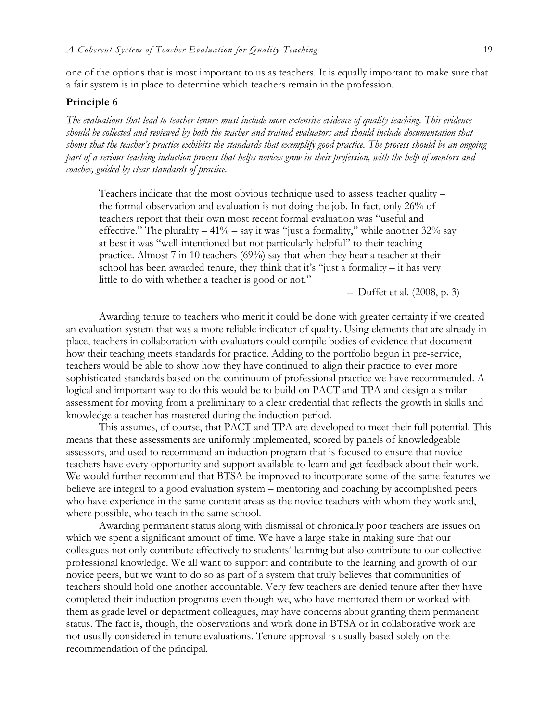one of the options that is most important to us as teachers. It is equally important to make sure that a fair system is in place to determine which teachers remain in the profession.

#### **Principle 6**

*The evaluations that lead to teacher tenure must include more extensive evidence of quality teaching. This evidence should be collected and reviewed by both the teacher and trained evaluators and should include documentation that shows that the teacher's practice exhibits the standards that exemplify good practice. The process should be an ongoing part of a serious teaching induction process that helps novices grow in their profession, with the help of mentors and coaches, guided by clear standards of practice.* 

Teachers indicate that the most obvious technique used to assess teacher quality – the formal observation and evaluation is not doing the job. In fact, only 26% of teachers report that their own most recent formal evaluation was "useful and effective." The plurality  $-41\%$  – say it was "just a formality," while another 32% say at best it was "well-intentioned but not particularly helpful" to their teaching practice. Almost 7 in 10 teachers (69%) say that when they hear a teacher at their school has been awarded tenure, they think that it's "just a formality  $-$  it has very little to do with whether a teacher is good or not."

– Duffet et al. (2008, p. 3)

Awarding tenure to teachers who merit it could be done with greater certainty if we created an evaluation system that was a more reliable indicator of quality. Using elements that are already in place, teachers in collaboration with evaluators could compile bodies of evidence that document how their teaching meets standards for practice. Adding to the portfolio begun in pre-service, teachers would be able to show how they have continued to align their practice to ever more sophisticated standards based on the continuum of professional practice we have recommended. A logical and important way to do this would be to build on PACT and TPA and design a similar assessment for moving from a preliminary to a clear credential that reflects the growth in skills and knowledge a teacher has mastered during the induction period.

This assumes, of course, that PACT and TPA are developed to meet their full potential. This means that these assessments are uniformly implemented, scored by panels of knowledgeable assessors, and used to recommend an induction program that is focused to ensure that novice teachers have every opportunity and support available to learn and get feedback about their work. We would further recommend that BTSA be improved to incorporate some of the same features we believe are integral to a good evaluation system – mentoring and coaching by accomplished peers who have experience in the same content areas as the novice teachers with whom they work and, where possible, who teach in the same school.

Awarding permanent status along with dismissal of chronically poor teachers are issues on which we spent a significant amount of time. We have a large stake in making sure that our colleagues not only contribute effectively to students' learning but also contribute to our collective professional knowledge. We all want to support and contribute to the learning and growth of our novice peers, but we want to do so as part of a system that truly believes that communities of teachers should hold one another accountable. Very few teachers are denied tenure after they have completed their induction programs even though we, who have mentored them or worked with them as grade level or department colleagues, may have concerns about granting them permanent status. The fact is, though, the observations and work done in BTSA or in collaborative work are not usually considered in tenure evaluations. Tenure approval is usually based solely on the recommendation of the principal.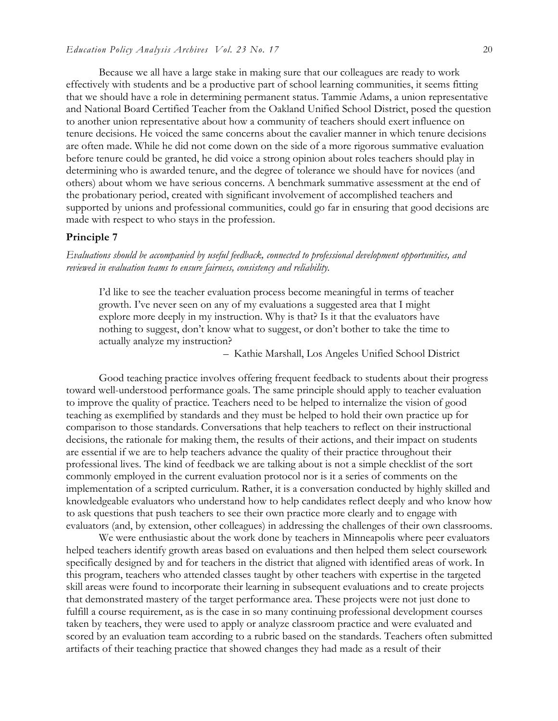Because we all have a large stake in making sure that our colleagues are ready to work effectively with students and be a productive part of school learning communities, it seems fitting that we should have a role in determining permanent status. Tammie Adams, a union representative and National Board Certified Teacher from the Oakland Unified School District, posed the question to another union representative about how a community of teachers should exert influence on tenure decisions. He voiced the same concerns about the cavalier manner in which tenure decisions are often made. While he did not come down on the side of a more rigorous summative evaluation before tenure could be granted, he did voice a strong opinion about roles teachers should play in determining who is awarded tenure, and the degree of tolerance we should have for novices (and others) about whom we have serious concerns. A benchmark summative assessment at the end of the probationary period, created with significant involvement of accomplished teachers and supported by unions and professional communities, could go far in ensuring that good decisions are made with respect to who stays in the profession.

#### **Principle 7**

*Evaluations should be accompanied by useful feedback, connected to professional development opportunities, and reviewed in evaluation teams to ensure fairness, consistency and reliability.*

I'd like to see the teacher evaluation process become meaningful in terms of teacher growth. I've never seen on any of my evaluations a suggested area that I might explore more deeply in my instruction. Why is that? Is it that the evaluators have nothing to suggest, don't know what to suggest, or don't bother to take the time to actually analyze my instruction?

– Kathie Marshall, Los Angeles Unified School District

Good teaching practice involves offering frequent feedback to students about their progress toward well-understood performance goals. The same principle should apply to teacher evaluation to improve the quality of practice. Teachers need to be helped to internalize the vision of good teaching as exemplified by standards and they must be helped to hold their own practice up for comparison to those standards. Conversations that help teachers to reflect on their instructional decisions, the rationale for making them, the results of their actions, and their impact on students are essential if we are to help teachers advance the quality of their practice throughout their professional lives. The kind of feedback we are talking about is not a simple checklist of the sort commonly employed in the current evaluation protocol nor is it a series of comments on the implementation of a scripted curriculum. Rather, it is a conversation conducted by highly skilled and knowledgeable evaluators who understand how to help candidates reflect deeply and who know how to ask questions that push teachers to see their own practice more clearly and to engage with evaluators (and, by extension, other colleagues) in addressing the challenges of their own classrooms.

We were enthusiastic about the work done by teachers in Minneapolis where peer evaluators helped teachers identify growth areas based on evaluations and then helped them select coursework specifically designed by and for teachers in the district that aligned with identified areas of work. In this program, teachers who attended classes taught by other teachers with expertise in the targeted skill areas were found to incorporate their learning in subsequent evaluations and to create projects that demonstrated mastery of the target performance area. These projects were not just done to fulfill a course requirement, as is the case in so many continuing professional development courses taken by teachers, they were used to apply or analyze classroom practice and were evaluated and scored by an evaluation team according to a rubric based on the standards. Teachers often submitted artifacts of their teaching practice that showed changes they had made as a result of their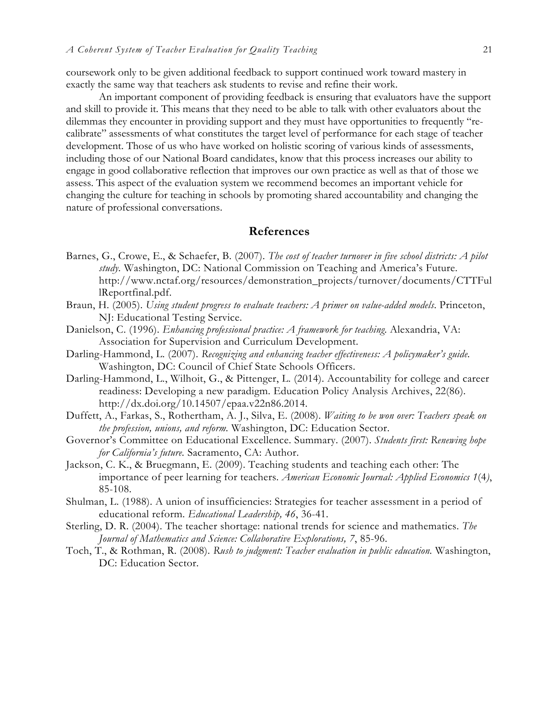coursework only to be given additional feedback to support continued work toward mastery in exactly the same way that teachers ask students to revise and refine their work.

An important component of providing feedback is ensuring that evaluators have the support and skill to provide it. This means that they need to be able to talk with other evaluators about the dilemmas they encounter in providing support and they must have opportunities to frequently "recalibrate" assessments of what constitutes the target level of performance for each stage of teacher development. Those of us who have worked on holistic scoring of various kinds of assessments, including those of our National Board candidates, know that this process increases our ability to engage in good collaborative reflection that improves our own practice as well as that of those we assess. This aspect of the evaluation system we recommend becomes an important vehicle for changing the culture for teaching in schools by promoting shared accountability and changing the nature of professional conversations.

### **References**

- Barnes, G., Crowe, E., & Schaefer, B. (2007). *The cost of teacher turnover in five school districts: A pilot study.* Washington, DC: National Commission on Teaching and America's Future. http://www.nctaf.org/resources/demonstration\_projects/turnover/documents/CTTFul lReportfinal.pdf.
- Braun, H. (2005). *Using student progress to evaluate teachers: A primer on value-added models*. Princeton, NJ: Educational Testing Service.
- Danielson, C. (1996). *Enhancing professional practice: A framework for teaching*. Alexandria, VA: Association for Supervision and Curriculum Development.
- Darling-Hammond, L. (2007). *Recognizing and enhancing teacher effectiveness: A policymaker's guide.*  Washington, DC: Council of Chief State Schools Officers.
- Darling-Hammond, L., Wilhoit, G., & Pittenger, L. (2014). Accountability for college and career readiness: Developing a new paradigm. Education Policy Analysis Archives, 22(86). http://dx.doi.org/10.14507/epaa.v22n86.2014.
- Duffett, A., Farkas, S., Rothertham, A. J., Silva, E. (2008). *Waiting to be won over: Teachers speak on the profession, unions, and reform.* Washington, DC: Education Sector.
- Governor's Committee on Educational Excellence. Summary. (2007). *Students first: Renewing hope for California's future.* Sacramento, CA: Author.
- Jackson, C. K., & Bruegmann, E. (2009). Teaching students and teaching each other: The importance of peer learning for teachers. *American Economic Journal: Applied Economics 1*(4*)*, 85-108.
- Shulman, L. (1988). A union of insufficiencies: Strategies for teacher assessment in a period of educational reform. *Educational Leadership, 46*, 36-41.
- Sterling, D. R. (2004). The teacher shortage: national trends for science and mathematics. *The Journal of Mathematics and Science: Collaborative Explorations, 7*, 85-96.
- Toch, T., & Rothman, R. (2008). *Rush to judgment: Teacher evaluation in public education.* Washington, DC: Education Sector.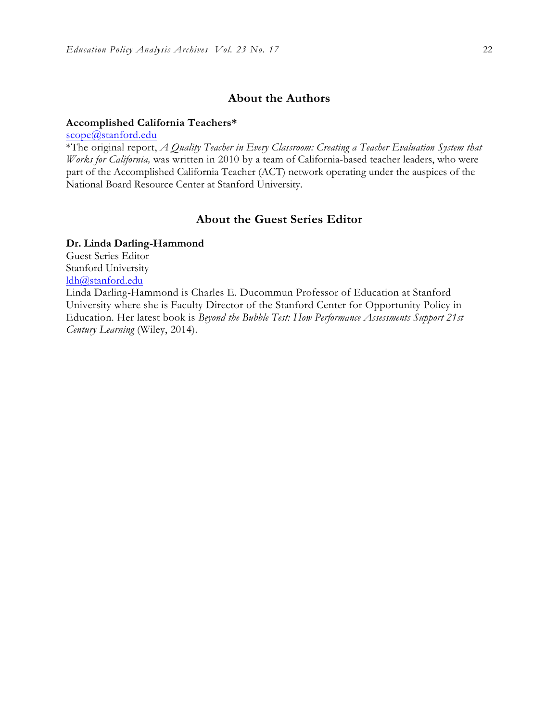## **About the Authors**

#### **Accomplished California Teachers\***

scope@stanford.edu

\*The original report, *A Quality Teacher in Every Classroom: Creating a Teacher Evaluation System that Works for California,* was written in 2010 by a team of California-based teacher leaders, who were part of the Accomplished California Teacher (ACT) network operating under the auspices of the National Board Resource Center at Stanford University.

## **About the Guest Series Editor**

#### **Dr. Linda Darling-Hammond**

Guest Series Editor Stanford University ldh@stanford.edu

Linda Darling-Hammond is Charles E. Ducommun Professor of Education at Stanford University where she is Faculty Director of the Stanford Center for Opportunity Policy in Education. Her latest book is *Beyond the Bubble Test: How Performance Assessments Support 21st Century Learning* (Wiley, 2014).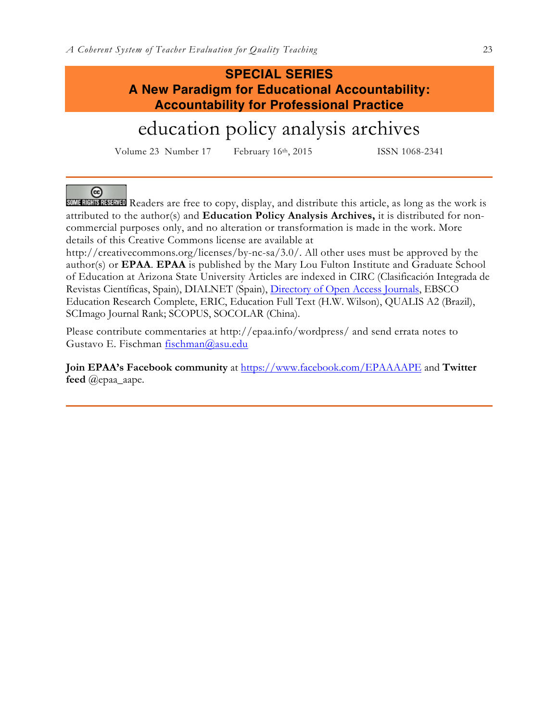## **SPECIAL SERIES A New Paradigm for Educational Accountability: Accountability for Professional Practice**

# education policy analysis archives

Volume 23 Number 17 February 16th, 2015 ISSN 1068-2341

 $\left($ cc

SOME RIGHTS RESERVED Readers are free to copy, display, and distribute this article, as long as the work is attributed to the author(s) and **Education Policy Analysis Archives,** it is distributed for noncommercial purposes only, and no alteration or transformation is made in the work. More details of this Creative Commons license are available at

http://creativecommons.org/licenses/by-nc-sa/3.0/. All other uses must be approved by the author(s) or **EPAA**. **EPAA** is published by the Mary Lou Fulton Institute and Graduate School of Education at Arizona State University Articles are indexed in CIRC (Clasificación Integrada de Revistas Científicas, Spain), DIALNET (Spain), Directory of Open Access Journals, EBSCO Education Research Complete, ERIC, Education Full Text (H.W. Wilson), QUALIS A2 (Brazil), SCImago Journal Rank; SCOPUS, SOCOLAR (China).

Please contribute commentaries at http://epaa.info/wordpress/ and send errata notes to Gustavo E. Fischman fischman@asu.edu

**Join EPAA's Facebook community** at https://www.facebook.com/EPAAAAPE and **Twitter feed** @epaa\_aape.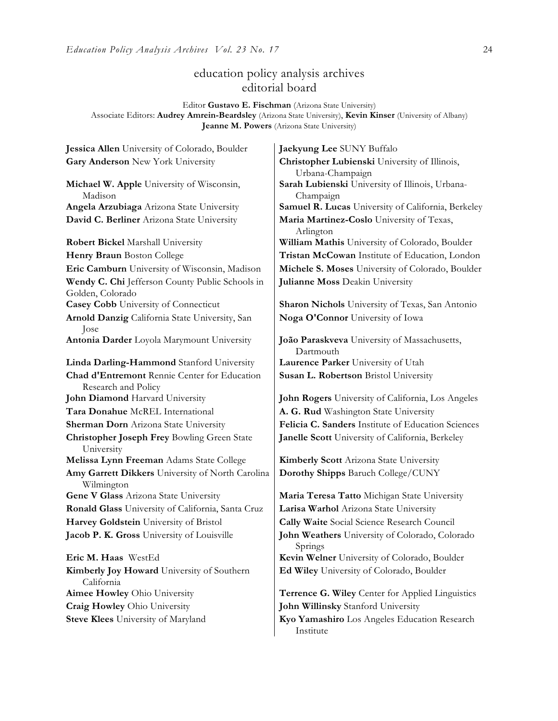## education policy analysis archives editorial board

Editor **Gustavo E. Fischman** (Arizona State University) Associate Editors: **Audrey Amrein-Beardsley** (Arizona State University), **Kevin Kinser** (University of Albany) **Jeanne M. Powers** (Arizona State University)

**Jessica Allen** University of Colorado, Boulder **Jaekyung Lee** SUNY Buffalo **Gary Anderson** New York University **Christopher Lubienski** University of Illinois, Urbana-Champaign **Michael W. Apple** University of Wisconsin, Madison **Sarah Lubienski** University of Illinois, Urbana-Champaign **Angela Arzubiaga** Arizona State University **Samuel R. Lucas** University of California, Berkeley **David C. Berliner** Arizona State University **Maria Martinez-Coslo** University of Texas, Arlington **Robert Bickel** Marshall University **William Mathis** University of Colorado, Boulder **Henry Braun** Boston College **Tristan McCowan** Institute of Education, London **Eric Camburn** University of Wisconsin, Madison **Michele S. Moses** University of Colorado, Boulder **Wendy C. Chi** Jefferson County Public Schools in Golden, Colorado **Julianne Moss** Deakin University **Casey Cobb** University of Connecticut **Sharon Nichols** University of Texas, San Antonio **Arnold Danzig** California State University, San Jose **Noga O'Connor** University of Iowa **Antonia Darder** Loyola Marymount University **João Paraskveva** University of Massachusetts, Dartmouth **Linda Darling-Hammond** Stanford University **Laurence Parker** University of Utah **Chad d'Entremont** Rennie Center for Education Research and Policy **Susan L. Robertson** Bristol University **John Diamond** Harvard University **John Rogers** University of California, Los Angeles **Tara Donahue** McREL International **A. G. Rud** Washington State University **Sherman Dorn** Arizona State University **Felicia C. Sanders** Institute of Education Sciences **Christopher Joseph Frey** Bowling Green State University **Janelle Scott** University of California, Berkeley **Melissa Lynn Freeman** Adams State College **Kimberly Scott** Arizona State University **Amy Garrett Dikkers** University of North Carolina Wilmington **Dorothy Shipps** Baruch College/CUNY **Gene V Glass** Arizona State University **Maria Teresa Tatto** Michigan State University **Ronald Glass** University of California, Santa Cruz | Larisa Warhol Arizona State University **Harvey Goldstein** University of Bristol **Cally Waite** Social Science Research Council **Jacob P. K. Gross** University of Louisville **John Weathers** University of Colorado, Colorado Springs **Eric M. Haas** WestEd **Kevin Welner** University of Colorado, Boulder **Kimberly Joy Howard** University of Southern California **Ed Wiley** University of Colorado, Boulder **Aimee Howley** Ohio University **Terrence G. Wiley** Center for Applied Linguistics **Craig Howley** Ohio University **John Willinsky** Stanford University

**Steve Klees** University of Maryland **Kyo Yamashiro** Los Angeles Education Research Institute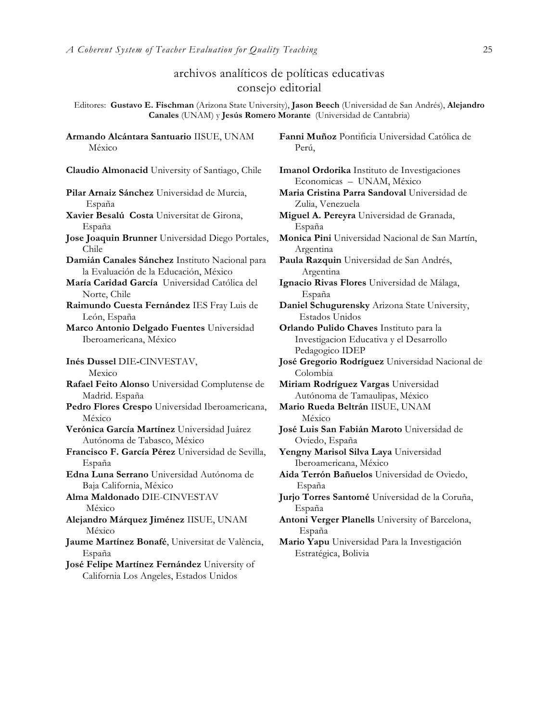## archivos analíticos de políticas educativas consejo editorial

Editores: **Gustavo E. Fischman** (Arizona State University), **Jason Beech** (Universidad de San Andrés), **Alejandro Canales** (UNAM) y **Jesús Romero Morante** (Universidad de Cantabria)

**Armando Alcántara Santuario** IISUE, UNAM México

**Claudio Almonacid** University of Santiago, Chile **Imanol Ordorika** Instituto de Investigaciones

**Pilar Arnaiz Sánchez** Universidad de Murcia, España

- **Xavier Besalú Costa** Universitat de Girona, España
- **Jose Joaquin Brunner** Universidad Diego Portales, Chile

**Damián Canales Sánchez** Instituto Nacional para la Evaluación de la Educación, México

**María Caridad García** Universidad Católica del Norte, Chile

**Raimundo Cuesta Fernández** IES Fray Luis de León, España

**Marco Antonio Delgado Fuentes** Universidad Iberoamericana, México

**Inés Dussel** DIE**-**CINVESTAV,

Mexico

**Rafael Feito Alonso** Universidad Complutense de Madrid. España

- **Pedro Flores Crespo** Universidad Iberoamericana, México
- **Verónica García Martínez** Universidad Juárez Autónoma de Tabasco, México
- **Francisco F. García Pérez** Universidad de Sevilla, España

**Edna Luna Serrano** Universidad Autónoma de Baja California, México

**Alma Maldonado** DIE-CINVESTAV México

**Alejandro Márquez Jiménez** IISUE, UNAM México

**Jaume Martínez Bonafé**, Universitat de València, España

**José Felipe Martínez Fernández** University of California Los Angeles, Estados Unidos

**Fanni Muñoz** Pontificia Universidad Católica de Perú,

Economicas – UNAM, México **Maria Cristina Parra Sandoval** Universidad de

Zulia, Venezuela

**Miguel A. Pereyra** Universidad de Granada, España

**Monica Pini** Universidad Nacional de San Martín, Argentina

**Paula Razquin** Universidad de San Andrés, Argentina

**Ignacio Rivas Flores** Universidad de Málaga, España

**Daniel Schugurensky** Arizona State University, Estados Unidos

**Orlando Pulido Chaves** Instituto para la Investigacion Educativa y el Desarrollo Pedagogico IDEP

**José Gregorio Rodríguez** Universidad Nacional de Colombia

**Miriam Rodríguez Vargas** Universidad Autónoma de Tamaulipas, México

**Mario Rueda Beltrán** IISUE, UNAM México

**José Luis San Fabián Maroto** Universidad de Oviedo, España

**Yengny Marisol Silva Laya** Universidad Iberoamericana, México

**Aida Terrón Bañuelos** Universidad de Oviedo, España

**Jurjo Torres Santomé** Universidad de la Coruña, España

**Antoni Verger Planells** University of Barcelona, España

**Mario Yapu** Universidad Para la Investigación Estratégica, Bolivia